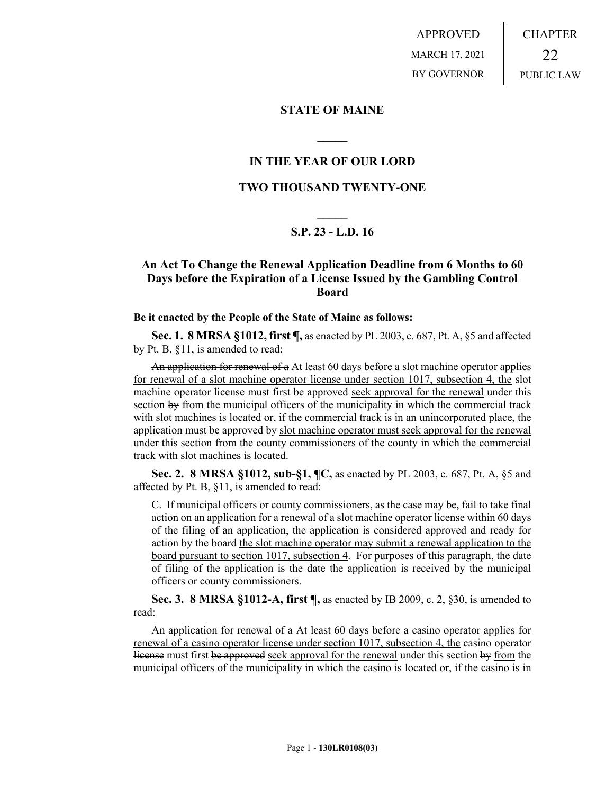APPROVED MARCH 17, 2021 BY GOVERNOR CHAPTER 22 PUBLIC LAW

### **STATE OF MAINE**

## **IN THE YEAR OF OUR LORD**

**\_\_\_\_\_**

## **TWO THOUSAND TWENTY-ONE**

# **\_\_\_\_\_ S.P. 23 - L.D. 16**

# **An Act To Change the Renewal Application Deadline from 6 Months to 60 Days before the Expiration of a License Issued by the Gambling Control Board**

#### **Be it enacted by the People of the State of Maine as follows:**

**Sec. 1. 8 MRSA §1012, first ¶,** as enacted by PL 2003, c. 687, Pt. A, §5 and affected by Pt. B, §11, is amended to read:

An application for renewal of a At least 60 days before a slot machine operator applies for renewal of a slot machine operator license under section 1017, subsection 4, the slot machine operator license must first be approved seek approval for the renewal under this section by from the municipal officers of the municipality in which the commercial track with slot machines is located or, if the commercial track is in an unincorporated place, the application must be approved by slot machine operator must seek approval for the renewal under this section from the county commissioners of the county in which the commercial track with slot machines is located.

**Sec. 2. 8 MRSA §1012, sub-§1, ¶C,** as enacted by PL 2003, c. 687, Pt. A, §5 and affected by Pt. B, §11, is amended to read:

C. If municipal officers or county commissioners, as the case may be, fail to take final action on an application for a renewal of a slot machine operator license within 60 days of the filing of an application, the application is considered approved and ready for action by the board the slot machine operator may submit a renewal application to the board pursuant to section 1017, subsection 4. For purposes of this paragraph, the date of filing of the application is the date the application is received by the municipal officers or county commissioners.

**Sec. 3. 8 MRSA §1012-A, first ¶,** as enacted by IB 2009, c. 2, §30, is amended to read:

An application for renewal of a At least 60 days before a casino operator applies for renewal of a casino operator license under section 1017, subsection 4, the casino operator license must first be approved seek approval for the renewal under this section by from the municipal officers of the municipality in which the casino is located or, if the casino is in